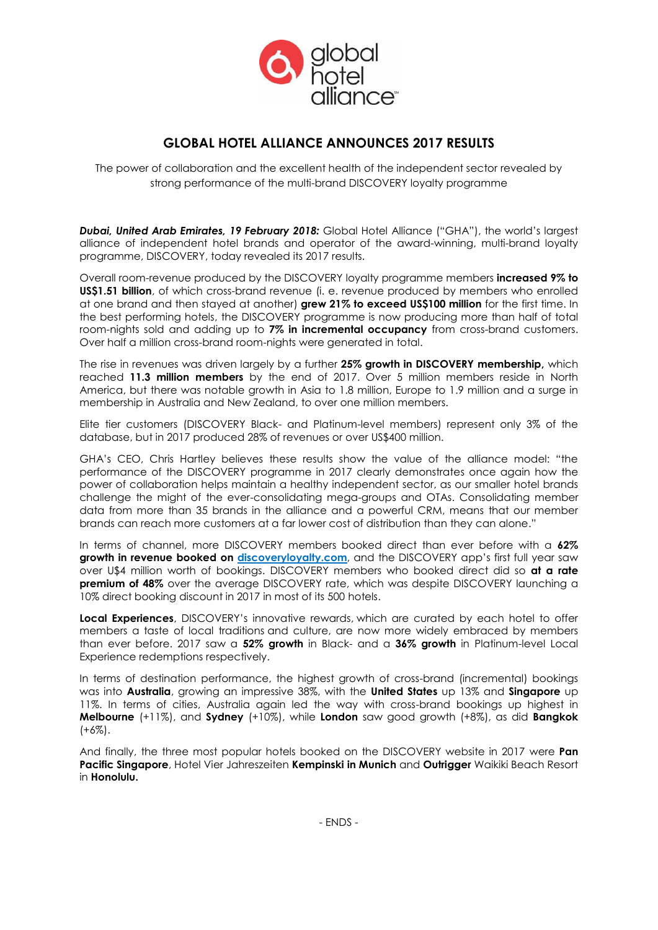

## **GLOBAL HOTEL ALLIANCE ANNOUNCES 2017 RESULTS**

The power of collaboration and the excellent health of the independent sector revealed by strong performance of the multi-brand DISCOVERY loyalty programme

*Dubai, United Arab Emirates, 19 February 2018:* Global Hotel Alliance ("GHA"), the world's largest alliance of independent hotel brands and operator of the award-winning, multi-brand loyalty programme, DISCOVERY, today revealed its 2017 results.

Overall room-revenue produced by the DISCOVERY loyalty programme members **increased 9% to US\$1.51 billion**, of which cross-brand revenue (i. e. revenue produced by members who enrolled at one brand and then stayed at another) **grew 21% to exceed US\$100 million** for the first time. In the best performing hotels, the DISCOVERY programme is now producing more than half of total room-nights sold and adding up to **7% in incremental occupancy** from cross-brand customers. Over half a million cross-brand room-nights were generated in total.

The rise in revenues was driven largely by a further **25% growth in DISCOVERY membership,** which reached **11.3 million members** by the end of 2017. Over 5 million members reside in North America, but there was notable growth in Asia to 1.8 million, Europe to 1.9 million and a surge in membership in Australia and New Zealand, to over one million members.

Elite tier customers (DISCOVERY Black- and Platinum-level members) represent only 3% of the database, but in 2017 produced 28% of revenues or over US\$400 million.

GHA's CEO, Chris Hartley believes these results show the value of the alliance model: "the performance of the DISCOVERY programme in 2017 clearly demonstrates once again how the power of collaboration helps maintain a healthy independent sector, as our smaller hotel brands challenge the might of the ever-consolidating mega-groups and OTAs. Consolidating member data from more than 35 brands in the alliance and a powerful CRM, means that our member brands can reach more customers at a far lower cost of distribution than they can alone."

In terms of channel, more DISCOVERY members booked direct than ever before with a **62% growth in revenue booked on [discoveryloyalty.com](http://www.discoveryloyalty.com/)**, and the DISCOVERY app's first full year saw over U\$4 million worth of bookings. DISCOVERY members who booked direct did so **at a rate premium of 48%** over the average DISCOVERY rate, which was despite DISCOVERY launching a 10% direct booking discount in 2017 in most of its 500 hotels.

**Local Experiences**, DISCOVERY's innovative rewards, which are curated by each hotel to offer members a taste of local traditions and culture, are now more widely embraced by members than ever before. 2017 saw a **52% growth** in Black- and a **36% growth** in Platinum-level Local Experience redemptions respectively.

In terms of destination performance, the highest growth of cross-brand (incremental) bookings was into **Australia**, growing an impressive 38%, with the **United States** up 13% and **Singapore** up 11%. In terms of cities, Australia again led the way with cross-brand bookings up highest in **Melbourne** (+11%), and **Sydney** (+10%), while **London** saw good growth (+8%), as did **Bangkok** (+6%).

And finally, the three most popular hotels booked on the DISCOVERY website in 2017 were **Pan Pacific Singapore**, Hotel Vier Jahreszeiten **Kempinski in Munich** and **Outrigger** Waikiki Beach Resort in **Honolulu.**